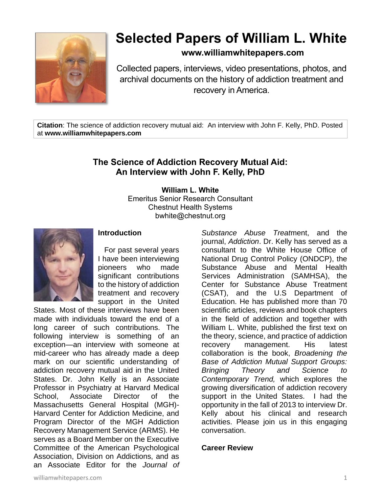

# **Selected Papers of William L. White**

# **www.williamwhitepapers.com**

Collected papers, interviews, video presentations, photos, and archival documents on the history of addiction treatment and recovery in America.

**Citation**: The science of addiction recovery mutual aid: An interview with John F. Kelly, PhD. Posted at **www.williamwhitepapers.com**

# **The Science of Addiction Recovery Mutual Aid: An Interview with John F. Kelly, PhD**

**William L. White** Emeritus Senior Research Consultant Chestnut Health Systems bwhite@chestnut.org



# **Introduction**

 For past several years I have been interviewing pioneers who made significant contributions to the history of addiction treatment and recovery support in the United

States. Most of these interviews have been made with individuals toward the end of a long career of such contributions. The following interview is something of an exception—an interview with someone at mid-career who has already made a deep mark on our scientific understanding of addiction recovery mutual aid in the United States. Dr. John Kelly is an Associate Professor in Psychiatry at Harvard Medical School, Associate Director of the Massachusetts General Hospital (MGH)- Harvard Center for Addiction Medicine, and Program Director of the MGH Addiction Recovery Management Service (ARMS). He serves as a Board Member on the Executive Committee of the American Psychological Association, Division on Addictions, and as an Associate Editor for the *Journal of*  *Substance Abuse Treat*ment, and the journal, *Addiction*. Dr. Kelly has served as a consultant to the White House Office of National Drug Control Policy (ONDCP), the Substance Abuse and Mental Health Services Administration (SAMHSA), the Center for Substance Abuse Treatment (CSAT), and the U.S Department of Education. He has published more than 70 scientific articles, reviews and book chapters in the field of addiction and together with William L. White, published the first text on the theory, science, and practice of addiction recovery management. His latest collaboration is the book, *Broadening the Base of Addiction Mutual Support Groups: Bringing Theory and Science to Contemporary Trend,* which explores the growing diversification of addiction recovery support in the United States. I had the opportunity in the fall of 2013 to interview Dr. Kelly about his clinical and research activities. Please join us in this engaging conversation.

#### **Career Review**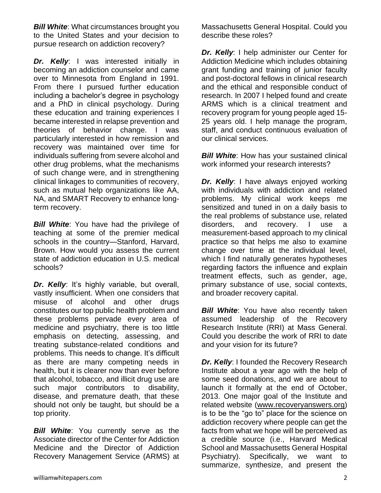*Bill White:* What circumstances brought you to the United States and your decision to pursue research on addiction recovery?

*Dr. Kelly*: I was interested initially in becoming an addiction counselor and came over to Minnesota from England in 1991. From there I pursued further education including a bachelor's degree in psychology and a PhD in clinical psychology. During these education and training experiences I became interested in relapse prevention and theories of behavior change. I was particularly interested in how remission and recovery was maintained over time for individuals suffering from severe alcohol and other drug problems, what the mechanisms of such change were, and in strengthening clinical linkages to communities of recovery, such as mutual help organizations like AA, NA, and SMART Recovery to enhance longterm recovery.

**Bill White:** You have had the privilege of teaching at some of the premier medical schools in the country—Stanford, Harvard, Brown. How would you assess the current state of addiction education in U.S. medical schools?

*Dr. Kelly*: It's highly variable, but overall, vastly insufficient. When one considers that misuse of alcohol and other drugs constitutes our top public health problem and these problems pervade every area of medicine and psychiatry, there is too little emphasis on detecting, assessing, and treating substance-related conditions and problems. This needs to change. It's difficult as there are many competing needs in health, but it is clearer now than ever before that alcohol, tobacco, and illicit drug use are such major contributors to disability, disease, and premature death, that these should not only be taught, but should be a top priority.

**Bill White:** You currently serve as the Associate director of the Center for Addiction Medicine and the Director of Addiction Recovery Management Service (ARMS) at Massachusetts General Hospital. Could you describe these roles?

*Dr. Kelly*: I help administer our Center for Addiction Medicine which includes obtaining grant funding and training of junior faculty and post-doctoral fellows in clinical research and the ethical and responsible conduct of research. In 2007 I helped found and create ARMS which is a clinical treatment and recovery program for young people aged 15- 25 years old. I help manage the program, staff, and conduct continuous evaluation of our clinical services.

*Bill White:* How has your sustained clinical work informed your research interests?

*Dr. Kelly*: I have always enjoyed working with individuals with addiction and related problems. My clinical work keeps me sensitized and tuned in on a daily basis to the real problems of substance use, related disorders, and recovery. I use a measurement-based approach to my clinical practice so that helps me also to examine change over time at the individual level, which I find naturally generates hypotheses regarding factors the influence and explain treatment effects, such as gender, age, primary substance of use, social contexts, and broader recovery capital.

*Bill White*: You have also recently taken assumed leadership of the Recovery Research Institute (RRI) at Mass General. Could you describe the work of RRI to date and your vision for its future?

**Dr. Kelly:** I founded the Recovery Research Institute about a year ago with the help of some seed donations, and we are about to launch it formally at the end of October, 2013. One major goal of the Institute and related website [\(www.recoveryanswers.org\)](http://www.recoveryanswers.org/) is to be the "go to" place for the science on addiction recovery where people can get the facts from what we hope will be perceived as a credible source (i.e., Harvard Medical School and Massachusetts General Hospital Psychiatry). Specifically, we want to summarize, synthesize, and present the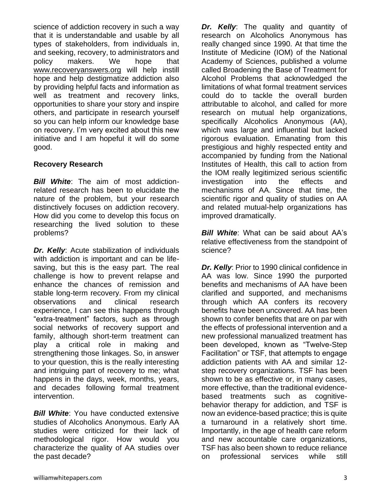science of addiction recovery in such a way that it is understandable and usable by all types of stakeholders, from individuals in, and seeking, recovery, to administrators and policy makers. We hope that [www.recoveryanswers.org](http://www.recoveryanswers.org/) will help instill hope and help destigmatize addiction also by providing helpful facts and information as well as treatment and recovery links, opportunities to share your story and inspire others, and participate in research yourself so you can help inform our knowledge base on recovery. I'm very excited about this new initiative and I am hopeful it will do some good.

# **Recovery Research**

*Bill White*: The aim of most addictionrelated research has been to elucidate the nature of the problem, but your research distinctively focuses on addiction recovery. How did you come to develop this focus on researching the lived solution to these problems?

*Dr. Kelly*: Acute stabilization of individuals with addiction is important and can be lifesaving, but this is the easy part. The real challenge is how to prevent relapse and enhance the chances of remission and stable long-term recovery. From my clinical observations and clinical research experience, I can see this happens through "extra-treatment" factors, such as through social networks of recovery support and family, although short-term treatment can play a critical role in making and strengthening those linkages. So, in answer to your question, this is the really interesting and intriguing part of recovery to me; what happens in the days, week, months, years, and decades following formal treatment intervention.

*Bill White*: You have conducted extensive studies of Alcoholics Anonymous. Early AA studies were criticized for their lack of methodological rigor. How would you characterize the quality of AA studies over the past decade?

*Dr. Kelly*: The quality and quantity of research on Alcoholics Anonymous has really changed since 1990. At that time the Institute of Medicine (IOM) of the National Academy of Sciences, published a volume called Broadening the Base of Treatment for Alcohol Problems that acknowledged the limitations of what formal treatment services could do to tackle the overall burden attributable to alcohol, and called for more research on mutual help organizations, specifically Alcoholics Anonymous (AA), which was large and influential but lacked rigorous evaluation. Emanating from this prestigious and highly respected entity and accompanied by funding from the National Institutes of Health, this call to action from the IOM really legitimized serious scientific investigation into the effects and mechanisms of AA. Since that time, the scientific rigor and quality of studies on AA and related mutual-help organizations has improved dramatically.

*Bill White*: What can be said about AA's relative effectiveness from the standpoint of science?

*Dr. Kelly: Prior to 1990 clinical confidence in* AA was low. Since 1990 the purported benefits and mechanisms of AA have been clarified and supported, and mechanisms through which AA confers its recovery benefits have been uncovered. AA has been shown to confer benefits that are on par with the effects of professional intervention and a new professional manualized treatment has been developed, known as "Twelve-Step Facilitation" or TSF, that attempts to engage addiction patients with AA and similar 12 step recovery organizations. TSF has been shown to be as effective or, in many cases, more effective, than the traditional evidencebased treatments such as cognitivebehavior therapy for addiction, and TSF is now an evidence-based practice; this is quite a turnaround in a relatively short time. Importantly, in the age of health care reform and new accountable care organizations, TSF has also been shown to reduce reliance on professional services while still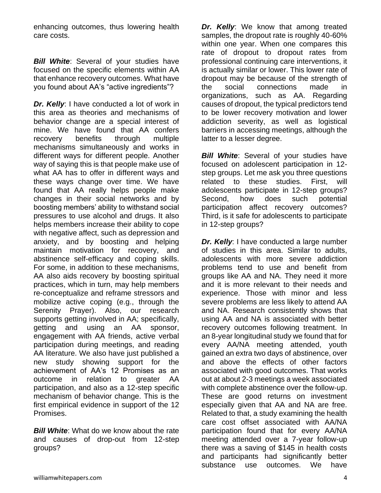enhancing outcomes, thus lowering health care costs.

**Bill White:** Several of your studies have focused on the specific elements within AA that enhance recovery outcomes. What have you found about AA's "active ingredients"?

**Dr. Kelly:** I have conducted a lot of work in this area as theories and mechanisms of behavior change are a special interest of mine. We have found that AA confers recovery benefits through multiple mechanisms simultaneously and works in different ways for different people. Another way of saying this is that people make use of what AA has to offer in different ways and these ways change over time. We have found that AA really helps people make changes in their social networks and by boosting members' ability to withstand social pressures to use alcohol and drugs. It also helps members increase their ability to cope with negative affect, such as depression and anxiety, and by boosting and helping maintain motivation for recovery, and abstinence self-efficacy and coping skills. For some, in addition to these mechanisms, AA also aids recovery by boosting spiritual practices, which in turn, may help members re-conceptualize and reframe stressors and mobilize active coping (e.g., through the Serenity Prayer). Also, our research supports getting involved in AA; specifically, getting and using an AA sponsor, engagement with AA friends, active verbal participation during meetings, and reading AA literature. We also have just published a new study showing support for the achievement of AA's 12 Promises as an outcome in relation to greater AA participation, and also as a 12-step specific mechanism of behavior change. This is the first empirical evidence in support of the 12 Promises.

*Bill White*: What do we know about the rate and causes of drop-out from 12-step groups?

*Dr.* Kelly: We know that among treated samples, the dropout rate is roughly 40-60% within one year. When one compares this rate of dropout to dropout rates from professional continuing care interventions, it is actually similar or lower. This lower rate of dropout may be because of the strength of the social connections made in organizations, such as AA. Regarding causes of dropout, the typical predictors tend to be lower recovery motivation and lower addiction severity, as well as logistical barriers in accessing meetings, although the latter to a lesser degree.

*Bill White*: Several of your studies have focused on adolescent participation in 12 step groups. Let me ask you three questions related to these studies. First, will adolescents participate in 12-step groups? Second, how does such potential participation affect recovery outcomes? Third, is it safe for adolescents to participate in 12-step groups?

*Dr. Kelly*: I have conducted a large number of studies in this area. Similar to adults, adolescents with more severe addiction problems tend to use and benefit from groups like AA and NA. They need it more and it is more relevant to their needs and experience. Those with minor and less severe problems are less likely to attend AA and NA. Research consistently shows that using AA and NA is associated with better recovery outcomes following treatment. In an 8-year longitudinal study we found that for every AA/NA meeting attended, youth gained an extra two days of abstinence, over and above the effects of other factors associated with good outcomes. That works out at about 2-3 meetings a week associated with complete abstinence over the follow-up. These are good returns on investment especially given that AA and NA are free. Related to that, a study examining the health care cost offset associated with AA/NA participation found that for every AA/NA meeting attended over a 7-year follow-up there was a saving of \$145 in health costs and participants had significantly better substance use outcomes. We have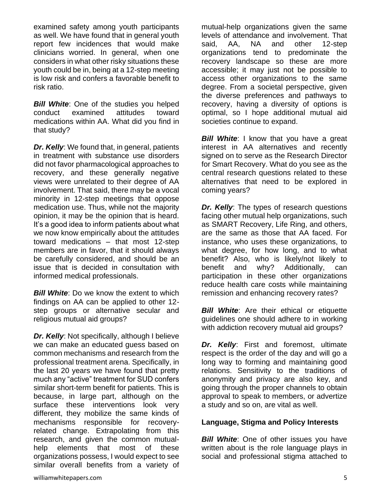examined safety among youth participants as well. We have found that in general youth report few incidences that would make clinicians worried. In general, when one considers in what other risky situations these youth could be in, being at a 12-step meeting is low risk and confers a favorable benefit to risk ratio.

**Bill White:** One of the studies you helped conduct examined attitudes toward medications within AA. What did you find in that study?

*Dr. Kelly*: We found that, in general, patients in treatment with substance use disorders did not favor pharmacological approaches to recovery, and these generally negative views were unrelated to their degree of AA involvement. That said, there may be a vocal minority in 12-step meetings that oppose medication use. Thus, while not the majority opinion, it may be the opinion that is heard. It's a good idea to inform patients about what we now know empirically about the attitudes toward medications – that most 12-step members are in favor, that it should always be carefully considered, and should be an issue that is decided in consultation with informed medical professionals.

*Bill White*: Do we know the extent to which findings on AA can be applied to other 12 step groups or alternative secular and religious mutual aid groups?

*Dr. Kelly*: Not specifically, although I believe we can make an educated guess based on common mechanisms and research from the professional treatment arena. Specifically, in the last 20 years we have found that pretty much any "active" treatment for SUD confers similar short-term benefit for patients. This is because, in large part, although on the surface these interventions look very different, they mobilize the same kinds of mechanisms responsible for recoveryrelated change. Extrapolating from this research, and given the common mutualhelp elements that most of these organizations possess, I would expect to see similar overall benefits from a variety of mutual-help organizations given the same levels of attendance and involvement. That said, AA, NA and other 12-step organizations tend to predominate the recovery landscape so these are more accessible; it may just not be possible to access other organizations to the same degree. From a societal perspective, given the diverse preferences and pathways to recovery, having a diversity of options is optimal, so I hope additional mutual aid societies continue to expand.

*Bill White*: I know that you have a great interest in AA alternatives and recently signed on to serve as the Research Director for Smart Recovery. What do you see as the central research questions related to these alternatives that need to be explored in coming years?

*Dr. Kelly*: The types of research questions facing other mutual help organizations, such as SMART Recovery, Life Ring, and others, are the same as those that AA faced. For instance, who uses these organizations, to what degree, for how long, and to what benefit? Also, who is likely/not likely to benefit and why? Additionally, can participation in these other organizations reduce health care costs while maintaining remission and enhancing recovery rates?

*Bill White*: Are their ethical or etiquette guidelines one should adhere to in working with addiction recovery mutual aid groups?

*Dr. Kelly*: First and foremost, ultimate respect is the order of the day and will go a long way to forming and maintaining good relations. Sensitivity to the traditions of anonymity and privacy are also key, and going through the proper channels to obtain approval to speak to members, or advertize a study and so on, are vital as well.

#### **Language, Stigma and Policy Interests**

*Bill White:* One of other issues you have written about is the role language plays in social and professional stigma attached to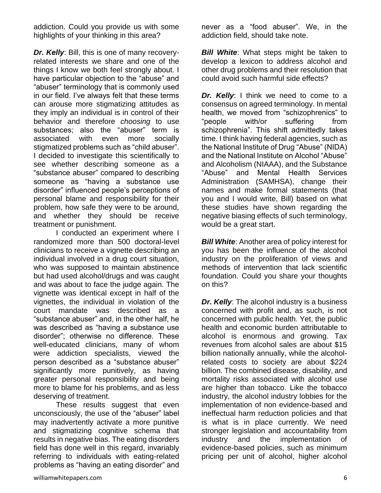addiction. Could you provide us with some highlights of your thinking in this area?

*Dr. Kelly*: Bill, this is one of many recoveryrelated interests we share and one of the things I know we both feel strongly about. I have particular objection to the "abuse" and "abuser" terminology that is commonly used in our field. I've always felt that these terms can arouse more stigmatizing attitudes as they imply an individual is in control of their behavior and therefore *choosing* to use substances; also the "abuser" term is associated with even more socially stigmatized problems such as "child abuser". I decided to investigate this scientifically to see whether describing someone as a "substance abuser" compared to describing someone as "having a substance use disorder" influenced people's perceptions of personal blame and responsibility for their problem, how safe they were to be around, and whether they should be receive treatment or punishment.

I conducted an experiment where I randomized more than 500 doctoral-level clinicians to receive a vignette describing an individual involved in a drug court situation, who was supposed to maintain abstinence but had used alcohol/drugs and was caught and was about to face the judge again. The vignette was identical except in half of the vignettes, the individual in violation of the court mandate was described as a "substance abuser" and, in the other half, he was described as "having a substance use disorder"; otherwise no difference. These well-educated clinicians, many of whom were addiction specialists, viewed the person described as a "substance abuser" significantly more punitively, as having greater personal responsibility and being more to blame for his problems, and as less deserving of treatment.

These results suggest that even unconsciously, the use of the "abuser" label may inadvertently activate a more punitive and stigmatizing cognitive schema that results in negative bias. The eating disorders field has done well in this regard, invariably referring to individuals with eating-related problems as "having an eating disorder" and

never as a "food abuser". We, in the addiction field, should take note.

*Bill White*: What steps might be taken to develop a lexicon to address alcohol and other drug problems and their resolution that could avoid such harmful side effects?

*Dr.* Kelly: I think we need to come to a consensus on agreed terminology. In mental health, we moved from "schizophrenics" to "people with/or suffering from schizophrenia". This shift admittedly takes time. I think having federal agencies, such as the National Institute of Drug "Abuse" (NIDA) and the National Institute on Alcohol "Abuse" and Alcoholism (NIAAA), and the Substance "Abuse" and Mental Health Services Administration (SAMHSA), change their names and make formal statements (that you and I would write, Bill) based on what these studies have shown regarding the negative biasing effects of such terminology, would be a great start.

*Bill White: Another area of policy interest for* you has been the influence of the alcohol industry on the proliferation of views and methods of intervention that lack scientific foundation. Could you share your thoughts on this?

*Dr. Kelly*: The alcohol industry is a business concerned with profit and, as such, is not concerned with public health. Yet, the public health and economic burden attributable to alcohol is enormous and growing. Tax revenues from alcohol sales are about \$15 billion nationally annually, while the alcoholrelated costs to society are about \$224 billion. The combined disease, disability, and mortality risks associated with alcohol use are higher than tobacco. Like the tobacco industry, the alcohol industry lobbies for the implementation of non evidence-based and ineffectual harm reduction policies and that is what is in place currently. We need stronger legislation and accountability from industry and the implementation of evidence-based policies, such as minimum pricing per unit of alcohol, higher alcohol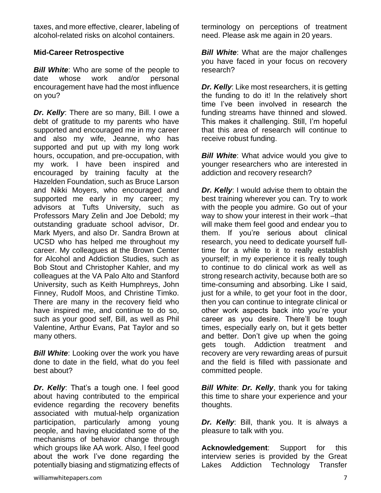taxes, and more effective, clearer, labeling of alcohol-related risks on alcohol containers.

# **Mid-Career Retrospective**

**Bill White:** Who are some of the people to date whose work and/or personal encouragement have had the most influence on you?

*Dr. Kelly*: There are so many, Bill. I owe a debt of gratitude to my parents who have supported and encouraged me in my career and also my wife, Jeanne, who has supported and put up with my long work hours, occupation, and pre-occupation, with my work. I have been inspired and encouraged by training faculty at the Hazelden Foundation, such as Bruce Larson and Nikki Moyers, who encouraged and supported me early in my career; my advisors at Tufts University, such as Professors Mary Zelin and Joe Debold; my outstanding graduate school advisor, Dr. Mark Myers, and also Dr. Sandra Brown at UCSD who has helped me throughout my career. My colleagues at the Brown Center for Alcohol and Addiction Studies, such as Bob Stout and Christopher Kahler, and my colleagues at the VA Palo Alto and Stanford University, such as Keith Humphreys, John Finney, Rudolf Moos, and Christine Timko. There are many in the recovery field who have inspired me, and continue to do so, such as your good self, Bill, as well as Phil Valentine, Arthur Evans, Pat Taylor and so many others.

*Bill White: Looking over the work you have* done to date in the field, what do you feel best about?

*Dr. Kelly*: That's a tough one. I feel good about having contributed to the empirical evidence regarding the recovery benefits associated with mutual-help organization participation, particularly among young people, and having elucidated some of the mechanisms of behavior change through which groups like AA work. Also, I feel good about the work I've done regarding the potentially biasing and stigmatizing effects of terminology on perceptions of treatment need. Please ask me again in 20 years.

*Bill White*: What are the major challenges you have faced in your focus on recovery research?

*Dr. Kelly*: Like most researchers, it is getting the funding to do it! In the relatively short time I've been involved in research the funding streams have thinned and slowed. This makes it challenging. Still, I'm hopeful that this area of research will continue to receive robust funding.

*Bill White:* What advice would you give to younger researchers who are interested in addiction and recovery research?

*Dr. Kelly:* I would advise them to obtain the best training wherever you can. Try to work with the people you admire. Go out of your way to show your interest in their work –that will make them feel good and endear you to them. If you're serious about clinical research, you need to dedicate yourself fulltime for a while to it to really establish yourself; in my experience it is really tough to continue to do clinical work as well as strong research activity, because both are so time-consuming and absorbing. Like I said, just for a while, to get your foot in the door, then you can continue to integrate clinical or other work aspects back into you're your career as you desire. There'll be tough times, especially early on, but it gets better and better. Don't give up when the going gets tough. Addiction treatment and recovery are very rewarding areas of pursuit and the field is filled with passionate and committed people.

*Bill White*: *Dr. Kelly*, thank you for taking this time to share your experience and your thoughts.

*Dr. Kelly*: Bill, thank you. It is always a pleasure to talk with you.

**Acknowledgement**: Support for this interview series is provided by the Great Lakes Addiction Technology Transfer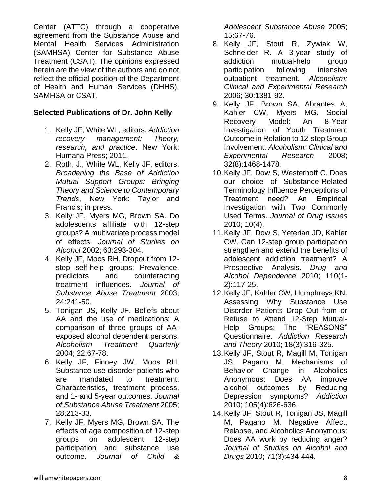Center (ATTC) through a cooperative agreement from the Substance Abuse and Mental Health Services Administration (SAMHSA) Center for Substance Abuse Treatment (CSAT). The opinions expressed herein are the view of the authors and do not reflect the official position of the Department of Health and Human Services (DHHS), SAMHSA or CSAT.

### **Selected Publications of Dr. John Kelly**

- 1. Kelly JF, White WL, editors. *Addiction recovery management: Theory, research, and practice*. New York: Humana Press; 2011.
- 2. Roth, J., White WL, Kelly JF, editors. *Broadening the Base of Addiction Mutual Support Groups: Bringing Theory and Science to Contemporary Trends*, New York: Taylor and Francis; in press.
- 3. Kelly JF, Myers MG, Brown SA. Do adolescents affiliate with 12-step groups? A multivariate process model of effects. *Journal of Studies on Alcohol* 2002; 63:293-304.
- 4. Kelly JF, Moos RH. Dropout from 12 step self-help groups: Prevalence, predictors and counteracting treatment influences. *Journal of Substance Abuse Treatment* 2003; 24:241-50.
- 5. Tonigan JS, Kelly JF. Beliefs about AA and the use of medications: A comparison of three groups of AAexposed alcohol dependent persons. *Alcoholism Treatment Quarterly* 2004; 22:67-78.
- 6. Kelly JF, Finney JW, Moos RH. Substance use disorder patients who are mandated to treatment. Characteristics, treatment process, and 1- and 5-year outcomes. *Journal of Substance Abuse Treatment* 2005; 28:213-33.
- 7. Kelly JF, Myers MG, Brown SA. The effects of age composition of 12-step groups on adolescent 12-step participation and substance use outcome. *Journal of Child &*

*Adolescent Substance Abuse* 2005; 15:67-76.

- 8. Kelly JF, Stout R, Zywiak W, Schneider R. A 3-year study of addiction mutual-help group participation following intensive outpatient treatment. *Alcoholism: Clinical and Experimental Research* 2006; 30:1381-92.
- 9. Kelly JF, Brown SA, Abrantes A, Kahler CW, Myers MG. Social Recovery Model: An 8-Year Investigation of Youth Treatment Outcome in Relation to 12-step Group Involvement. *Alcoholism: Clinical and Experimental Research* 2008; 32(8):1468-1478.
- 10.Kelly JF, Dow S, Westerhoff C. Does our choice of Substance-Related Terminology Influence Perceptions of Treatment need? An Empirical Investigation with Two Commonly Used Terms. *Journal of Drug Issues* 2010; 10(4).
- 11.Kelly JF, Dow S, Yeterian JD, Kahler CW. Can 12-step group participation strengthen and extend the benefits of adolescent addiction treatment? A Prospective Analysis. *Drug and Alcohol Dependence* 2010; 110(1- 2):117-25.
- 12.Kelly JF, Kahler CW, Humphreys KN. Assessing Why Substance Use Disorder Patients Drop Out from or Refuse to Attend 12-Step Mutual-Help Groups: The "REASONS" Questionnaire. *Addiction Research and Theory* 2010; 18(3):316-325.
- 13.Kelly JF, Stout R, Magill M, Tonigan JS, Pagano M. Mechanisms of Behavior Change in Alcoholics Anonymous: Does AA improve alcohol outcomes by Reducing Depression symptoms? *Addiction* 2010; 105(4):626-636.
- 14.Kelly JF, Stout R, Tonigan JS, Magill M, Pagano M. Negative Affect, Relapse, and Alcoholics Anonymous: Does AA work by reducing anger? *Journal of Studies on Alcohol and Drugs* 2010; 71(3):434-444.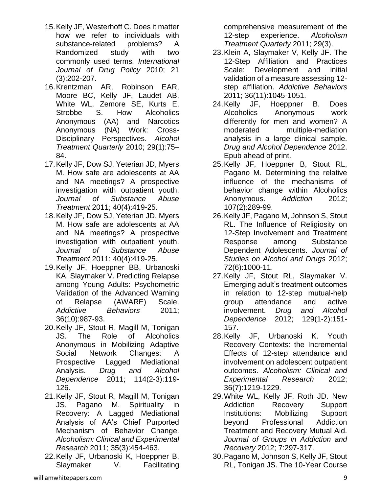- 15.Kelly JF, Westerhoff C. Does it matter how we refer to individuals with substance-related problems? A Randomized study with two commonly used terms*. International Journal of Drug Policy* 2010; 21 (3):202-207.
- 16.Krentzman AR, Robinson EAR, Moore BC, Kelly JF, Laudet AB, White WL, Zemore SE, Kurts E, Strobbe S. How Alcoholics Anonymous (AA) and Narcotics Anonymous (NA) Work: Cross-Disciplinary Perspectives. *Alcohol Treatment Quarterly* 2010; 29(1):75– 84.
- 17.Kelly JF, Dow SJ, Yeterian JD, Myers M. How safe are adolescents at AA and NA meetings? A prospective investigation with outpatient youth. *Journal of Substance Abuse Treatment* 2011; 40(4):419-25.
- 18.Kelly JF, Dow SJ, Yeterian JD, Myers M. How safe are adolescents at AA and NA meetings? A prospective investigation with outpatient youth. *Journal of Substance Abuse Treatment* 2011; 40(4):419-25.
- 19.Kelly JF, Hoeppner BB, Urbanoski KA, Slaymaker V. Predicting Relapse among Young Adults: Psychometric Validation of the Advanced Warning of Relapse (AWARE) Scale. *Addictive Behaviors* 2011; 36(10):987-93.
- 20.Kelly JF, Stout R, Magill M, Tonigan JS. The Role of Alcoholics Anonymous in Mobilizing Adaptive Social Network Changes: A Prospective Lagged Mediational Analysis. *Drug and Alcohol Dependence* 2011; 114(2-3):119- 126.
- 21.Kelly JF, Stout R, Magill M, Tonigan JS, Pagano M. Spirituality in Recovery: A Lagged Mediational Analysis of AA's Chief Purported Mechanism of Behavior Change. *Alcoholism: Clinical and Experimental Research* 2011; 35(3):454-463.
- 22.Kelly JF, Urbanoski K, Hoeppner B, Slaymaker V. Facilitating

comprehensive measurement of the 12-step experience. *Alcoholism Treatment Quarterly* 2011; 29(3).

- 23.Klein A, Slaymaker V, Kelly JF. The 12-Step Affiliation and Practices Scale: Development and initial validation of a measure assessing 12 step affiliation. *Addictive Behaviors* 2011; 36(11):1045-1051.
- 24.Kelly JF, Hoeppner B. Does Alcoholics Anonymous work differently for men and women? A moderated multiple-mediation analysis in a large clinical sample. *Drug and Alcohol Dependence* 2012. Epub ahead of print.
- 25.Kelly JF, Hoeppner B, Stout RL, Pagano M. Determining the relative influence of the mechanisms of behavior change within Alcoholics Anonymous. *Addiction* 2012; 107(2):289-99.
- 26.Kelly JF, Pagano M, Johnson S, Stout RL. The Influence of Religiosity on 12-Step Involvement and Treatment Response among Substance Dependent Adolescents. *Journal of Studies on Alcohol and Drugs* 2012; 72(6):1000-11.
- 27.Kelly JF, Stout RL, Slaymaker V. Emerging adult's treatment outcomes in relation to 12-step mutual-help group attendance and active involvement. *Drug and Alcohol Dependence* 2012; 129(1-2):151- 157.
- 28.Kelly JF, Urbanoski K. Youth Recovery Contexts: the Incremental Effects of 12-step attendance and involvement on adolescent outpatient outcomes. *Alcoholism: Clinical and Experimental Research* 2012; 36(7):1219-1229.
- 29.White WL, Kelly JF, Roth JD. New Addiction Recovery Support Institutions: Mobilizing Support beyond Professional Addiction Treatment and Recovery Mutual Aid. *Journal of Groups in Addiction and Recovery* 2012; 7:297-317.
- 30.Pagano M, Johnson S, Kelly JF, Stout RL, Tonigan JS. The 10-Year Course